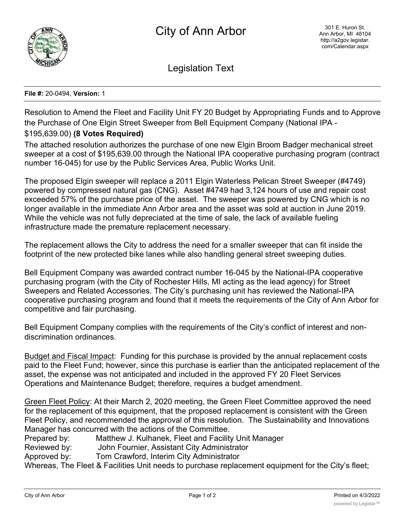

Legislation Text

## **File #:** 20-0494, **Version:** 1

Resolution to Amend the Fleet and Facility Unit FY 20 Budget by Appropriating Funds and to Approve the Purchase of One Elgin Street Sweeper from Bell Equipment Company (National IPA -

## \$195,639.00) **(8 Votes Required)**

The attached resolution authorizes the purchase of one new Elgin Broom Badger mechanical street sweeper at a cost of \$195,639.00 through the National IPA cooperative purchasing program (contract number 16-045) for use by the Public Services Area, Public Works Unit.

The proposed Elgin sweeper will replace a 2011 Elgin Waterless Pelican Street Sweeper (#4749) powered by compressed natural gas (CNG). Asset #4749 had 3,124 hours of use and repair cost exceeded 57% of the purchase price of the asset. The sweeper was powered by CNG which is no longer available in the immediate Ann Arbor area and the asset was sold at auction in June 2019. While the vehicle was not fully depreciated at the time of sale, the lack of available fueling infrastructure made the premature replacement necessary.

The replacement allows the City to address the need for a smaller sweeper that can fit inside the footprint of the new protected bike lanes while also handling general street sweeping duties.

Bell Equipment Company was awarded contract number 16-045 by the National-IPA cooperative purchasing program (with the City of Rochester Hills, MI acting as the lead agency) for Street Sweepers and Related Accessories. The City's purchasing unit has reviewed the National-IPA cooperative purchasing program and found that it meets the requirements of the City of Ann Arbor for competitive and fair purchasing.

Bell Equipment Company complies with the requirements of the City's conflict of interest and nondiscrimination ordinances.

Budget and Fiscal Impact: Funding for this purchase is provided by the annual replacement costs paid to the Fleet Fund; however, since this purchase is earlier than the anticipated replacement of the asset, the expense was not anticipated and included in the approved FY 20 Fleet Services Operations and Maintenance Budget; therefore, requires a budget amendment.

Green Fleet Policy: At their March 2, 2020 meeting, the Green Fleet Committee approved the need for the replacement of this equipment, that the proposed replacement is consistent with the Green Fleet Policy, and recommended the approval of this resolution. The Sustainability and Innovations Manager has concurred with the actions of the Committee.

Prepared by: Matthew J. Kulhanek, Fleet and Facility Unit Manager

Reviewed by: John Fournier, Assistant City Administrator

Approved by: Tom Crawford, Interim City Administrator

Whereas, The Fleet & Facilities Unit needs to purchase replacement equipment for the City's fleet;